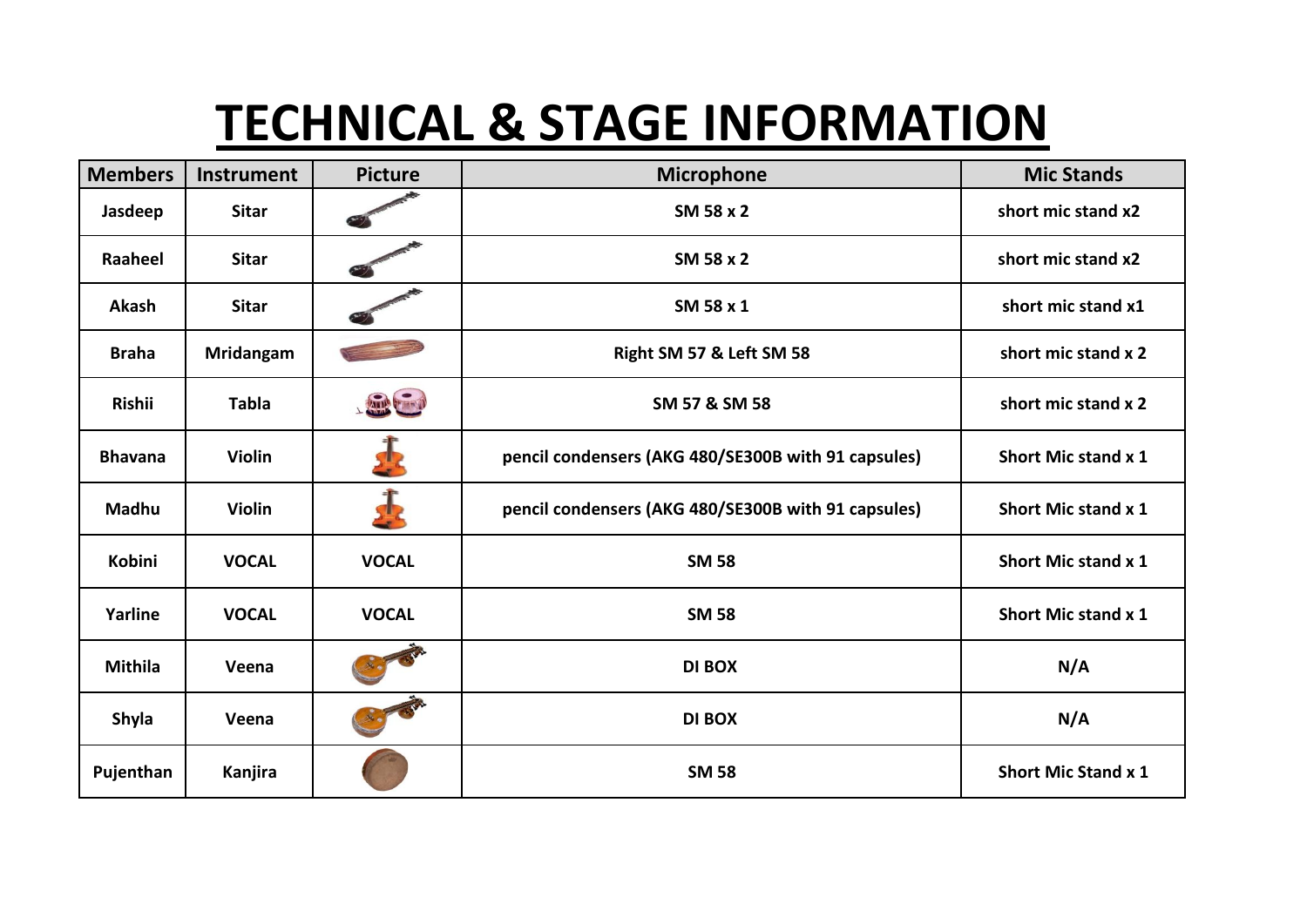## **TECHNICAL & STAGE INFORMATION**

| <b>Members</b> | <b>Instrument</b> | <b>Picture</b> | <b>Microphone</b>                                   | <b>Mic Stands</b>          |
|----------------|-------------------|----------------|-----------------------------------------------------|----------------------------|
| Jasdeep        | <b>Sitar</b>      |                | SM 58 x 2                                           | short mic stand x2         |
| Raaheel        | <b>Sitar</b>      |                | SM 58 x 2                                           | short mic stand x2         |
| Akash          | <b>Sitar</b>      |                | SM 58 x 1                                           | short mic stand x1         |
| <b>Braha</b>   | <b>Mridangam</b>  |                | Right SM 57 & Left SM 58                            | short mic stand x 2        |
| <b>Rishii</b>  | <b>Tabla</b>      | LATER CENT     | SM 57 & SM 58                                       | short mic stand x 2        |
| <b>Bhavana</b> | <b>Violin</b>     |                | pencil condensers (AKG 480/SE300B with 91 capsules) | Short Mic stand x 1        |
| Madhu          | Violin            |                | pencil condensers (AKG 480/SE300B with 91 capsules) | Short Mic stand x 1        |
| Kobini         | <b>VOCAL</b>      | <b>VOCAL</b>   | <b>SM 58</b>                                        | <b>Short Mic stand x 1</b> |
| Yarline        | <b>VOCAL</b>      | <b>VOCAL</b>   | <b>SM 58</b>                                        | Short Mic stand x 1        |
| <b>Mithila</b> | Veena             |                | <b>DI BOX</b>                                       | N/A                        |
| Shyla          | Veena             |                | <b>DI BOX</b>                                       | N/A                        |
| Pujenthan      | Kanjira           |                | <b>SM 58</b>                                        | <b>Short Mic Stand x 1</b> |